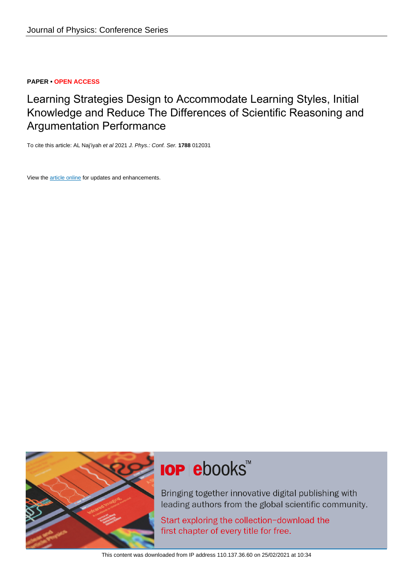### **PAPER • OPEN ACCESS**

Learning Strategies Design to Accommodate Learning Styles, Initial Knowledge and Reduce The Differences of Scientific Reasoning and Argumentation Performance

To cite this article: AL Naj'iyah et al 2021 J. Phys.: Conf. Ser. **1788** 012031

View the [article online](https://doi.org/10.1088/1742-6596/1788/1/012031) for updates and enhancements.



# **IOP ebooks™**

Bringing together innovative digital publishing with leading authors from the global scientific community.

Start exploring the collection-download the first chapter of every title for free.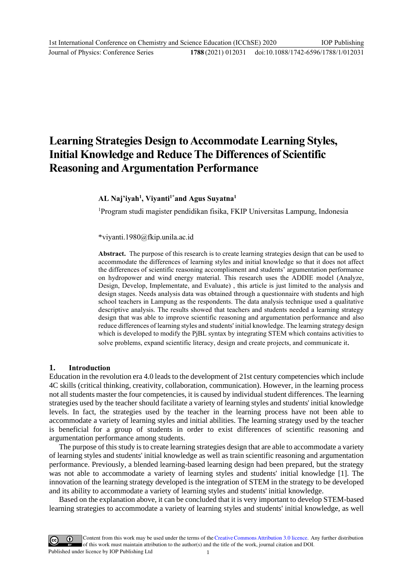## **Learning Strategies Design to Accommodate Learning Styles, Initial Knowledge and Reduce The Differences of Scientific Reasoning and Argumentation Performance**

**AL Naj'iyah<sup>1</sup> , Viyanti1\*and Agus Suyatna<sup>1</sup>**

<sup>1</sup>Program studi magister pendidikan fisika, FKIP Universitas Lampung, Indonesia

\*[viyanti.1980@fkip.unila.ac.id](mailto:viyanti.1980@fkip.unila.ac.id)

**Abstract.** The purpose of this research is to create learning strategies design that can be used to accommodate the differences of learning styles and initial knowledge so that it does not affect the differences of scientific reasoning accomplisment and students' argumentation performance on hydropower and wind energy material. This research uses the ADDIE model (Analyze, Design, Develop, Implementate, and Evaluate) , this article is just limited to the analysis and design stages. Needs analysis data was obtained through a questionnaire with students and high school teachers in Lampung as the respondents. The data analysis technique used a qualitative descriptive analysis. The results showed that teachers and students needed a learning strategy design that was able to improve scientific reasoning and argumentation performance and also reduce differences of learning styles and students' initial knowledge. The learning strategy design which is developed to modify the PjBL syntax by integrating STEM which contains activities to solve problems, expand scientific literacy, design and create projects, and communicate it.

### **1. Introduction**

Education in the revolution era 4.0 leads to the development of 21st century competencies which include 4C skills (critical thinking, creativity, collaboration, communication). However, in the learning process not all students master the four competencies, it is caused by individual student differences. The learning strategies used by the teacher should facilitate a variety of learning styles and students' initial knowledge levels. In fact, the strategies used by the teacher in the learning process have not been able to accommodate a variety of learning styles and initial abilities. The learning strategy used by the teacher is beneficial for a group of students in order to exist differences of scientific reasoning and argumentation performance among students.

The purpose of this study is to create learning strategies design that are able to accommodate a variety of learning styles and students' initial knowledge as well as train scientific reasoning and argumentation performance. Previously, a blended learning-based learning design had been prepared, but the strategy was not able to accommodate a variety of learning styles and students' initial knowledge [1]. The innovation of the learning strategy developed is the integration of STEM in the strategy to be developed and its ability to accommodate a variety of learning styles and students' initial knowledge.

Based on the explanation above, it can be concluded that it is very important to develop STEM-based learning strategies to accommodate a variety of learning styles and students' initial knowledge, as well

Content from this work may be used under the terms of theCreative Commons Attribution 3.0 licence. Any further distribution of this work must maintain attribution to the author(s) and the title of the work, journal citation and DOI. Published under licence by IOP Publishing Ltd 1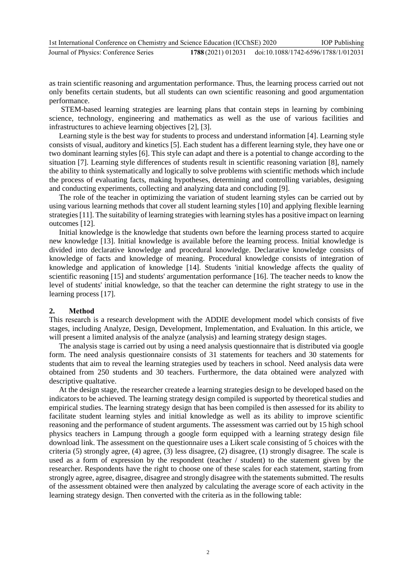| 1st International Conference on Chemistry and Science Education (ICChSE) 2020 |                                                        | <b>IOP</b> Publishing |
|-------------------------------------------------------------------------------|--------------------------------------------------------|-----------------------|
| Journal of Physics: Conference Series                                         | 1788 (2021) 012031 doi:10.1088/1742-6596/1788/1/012031 |                       |

as train scientific reasoning and argumentation performance. Thus, the learning process carried out not only benefits certain students, but all students can own scientific reasoning and good argumentation performance.

STEM-based learning strategies are learning plans that contain steps in learning by combining science, technology, engineering and mathematics as well as the use of various facilities and infrastructures to achieve learning objectives [2], [3].

Learning style is the best way for students to process and understand information [4]. Learning style consists of visual, auditory and kinetics [5]. Each student has a different learning style, they have one or two dominant learning styles [6]. This style can adapt and there is a potential to change according to the situation [7]. Learning style differences of students result in scientific reasoning variation [8], namely the ability to think systematically and logically to solve problems with scientific methods which include the process of evaluating facts, making hypotheses, determining and controlling variables, designing and conducting experiments, collecting and analyzing data and concluding [9].

The role of the teacher in optimizing the variation of student learning styles can be carried out by using various learning methods that cover all student learning styles [10] and applying flexible learning strategies [11]. The suitability of learning strategies with learning styles has a positive impact on learning outcomes [12].

Initial knowledge is the knowledge that students own before the learning process started to acquire new knowledge [13]. Initial knowledge is available before the learning process. Initial knowledge is divided into declarative knowledge and procedural knowledge. Declarative knowledge consists of knowledge of facts and knowledge of meaning. Procedural knowledge consists of integration of knowledge and application of knowledge [14]. Students 'initial knowledge affects the quality of scientific reasoning [15] and students' argumentation performance [16]. The teacher needs to know the level of students' initial knowledge, so that the teacher can determine the right strategy to use in the learning process [17].

### **2. Method**

This research is a research development with the ADDIE development model which consists of five stages, including Analyze, Design, Development, Implementation, and Evaluation. In this article, we will present a limited analysis of the analyze (analysis) and learning strategy design stages.

The analysis stage is carried out by using a need analysis questionnaire that is distributed via google form. The need analysis questionnaire consists of 31 statements for teachers and 30 statements for students that aim to reveal the learning strategies used by teachers in school. Need analysis data were obtained from 250 students and 30 teachers. Furthermore, the data obtained were analyzed with descriptive qualtative.

At the design stage, the researcher createde a learning strategies design to be developed based on the indicators to be achieved. The learning strategy design compiled is supported by theoretical studies and empirical studies. The learning strategy design that has been compiled is then assessed for its ability to facilitate student learning styles and initial knowledge as well as its ability to improve scientific reasoning and the performance of student arguments. The assessment was carried out by 15 high school physics teachers in Lampung through a google form equipped with a learning strategy design file download link. The assessment on the questionnaire uses a Likert scale consisting of 5 choices with the criteria (5) strongly agree, (4) agree, (3) less disagree, (2) disagree, (1) strongly disagree. The scale is used as a form of expression by the respondent (teacher / student) to the statement given by the researcher. Respondents have the right to choose one of these scales for each statement, starting from strongly agree, agree, disagree, disagree and strongly disagree with the statements submitted. The results of the assessment obtained were then analyzed by calculating the average score of each activity in the learning strategy design. Then converted with the criteria as in the following table: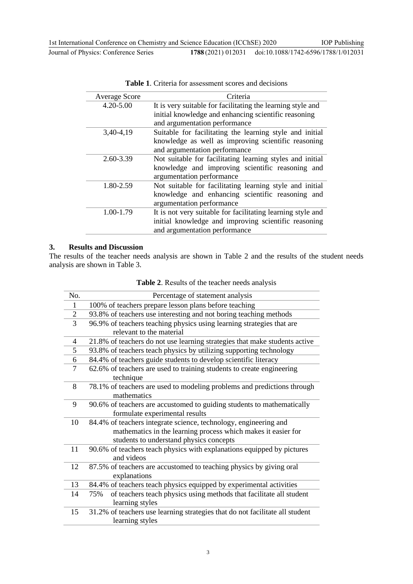| <b>Average Score</b> | Criteria                                                    |
|----------------------|-------------------------------------------------------------|
| $4.20 - 5.00$        | It is very suitable for facilitating the learning style and |
|                      | initial knowledge and enhancing scientific reasoning        |
|                      | and argumentation performance                               |
| 3,40-4,19            | Suitable for facilitating the learning style and initial    |
|                      | knowledge as well as improving scientific reasoning         |
|                      | and argumentation performance                               |
| 2.60-3.39            | Not suitable for facilitating learning styles and initial   |
|                      | knowledge and improving scientific reasoning and            |
|                      | argumentation performance                                   |
| 1.80-2.59            | Not suitable for facilitating learning style and initial    |
|                      | knowledge and enhancing scientific reasoning and            |
|                      | argumentation performance                                   |
| 1.00-1.79            | It is not very suitable for facilitating learning style and |
|                      | initial knowledge and improving scientific reasoning        |
|                      | and argumentation performance                               |

**Table 1**. Criteria for assessment scores and decisions

### **3. Results and Discussion**

The results of the teacher needs analysis are shown in Table 2 and the results of the student needs analysis are shown in Table 3.

| No.            | Percentage of statement analysis                                             |
|----------------|------------------------------------------------------------------------------|
| $\mathbf{1}$   | 100% of teachers prepare lesson plans before teaching                        |
| $\overline{2}$ | 93.8% of teachers use interesting and not boring teaching methods            |
| 3              | 96.9% of teachers teaching physics using learning strategies that are        |
|                | relevant to the material                                                     |
| 4              | 21.8% of teachers do not use learning strategies that make students active   |
| 5              | 93.8% of teachers teach physics by utilizing supporting technology           |
| 6              | 84.4% of teachers guide students to develop scientific literacy              |
| 7              | 62.6% of teachers are used to training students to create engineering        |
|                | technique                                                                    |
| 8              | 78.1% of teachers are used to modeling problems and predictions through      |
|                | mathematics                                                                  |
| 9              | 90.6% of teachers are accustomed to guiding students to mathematically       |
|                | formulate experimental results                                               |
| 10             | 84.4% of teachers integrate science, technology, engineering and             |
|                | mathematics in the learning process which makes it easier for                |
|                | students to understand physics concepts                                      |
| 11             | 90.6% of teachers teach physics with explanations equipped by pictures       |
|                | and videos                                                                   |
| 12             | 87.5% of teachers are accustomed to teaching physics by giving oral          |
|                | explanations                                                                 |
| 13             | 84.4% of teachers teach physics equipped by experimental activities          |
| 14             | of teachers teach physics using methods that facilitate all student<br>75%   |
|                | learning styles                                                              |
| 15             | 31.2% of teachers use learning strategies that do not facilitate all student |
|                | learning styles                                                              |

**Table 2**. Results of the teacher needs analysis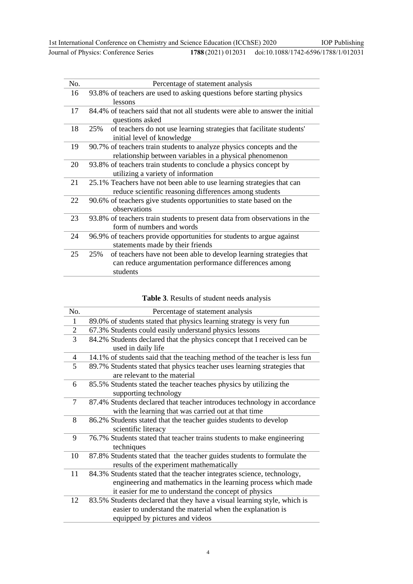| No. | Percentage of statement analysis                                                                                                                |
|-----|-------------------------------------------------------------------------------------------------------------------------------------------------|
| 16  | 93.8% of teachers are used to asking questions before starting physics<br>lessons                                                               |
| 17  | 84.4% of teachers said that not all students were able to answer the initial<br>questions asked                                                 |
| 18  | of teachers do not use learning strategies that facilitate students'<br>25%<br>initial level of knowledge                                       |
| 19  | 90.7% of teachers train students to analyze physics concepts and the<br>relationship between variables in a physical phenomenon                 |
| 20  | 93.8% of teachers train students to conclude a physics concept by<br>utilizing a variety of information                                         |
| 21  | 25.1% Teachers have not been able to use learning strategies that can<br>reduce scientific reasoning differences among students                 |
| 22  | 90.6% of teachers give students opportunities to state based on the<br>observations                                                             |
| 23  | 93.8% of teachers train students to present data from observations in the<br>form of numbers and words                                          |
| 24  | 96.9% of teachers provide opportunities for students to argue against<br>statements made by their friends                                       |
| 25  | of teachers have not been able to develop learning strategies that<br>25%<br>can reduce argumentation performance differences among<br>students |

### **Table 3**. Results of student needs analysis

| No.            | Percentage of statement analysis                                                                                                                                                                  |
|----------------|---------------------------------------------------------------------------------------------------------------------------------------------------------------------------------------------------|
| 1              | 89.0% of students stated that physics learning strategy is very fun                                                                                                                               |
| $\overline{2}$ | 67.3% Students could easily understand physics lessons                                                                                                                                            |
| 3              | 84.2% Students declared that the physics concept that I received can be<br>used in daily life                                                                                                     |
| 4              | 14.1% of students said that the teaching method of the teacher is less fun                                                                                                                        |
| 5              | 89.7% Students stated that physics teacher uses learning strategies that<br>are relevant to the material                                                                                          |
| 6              | 85.5% Students stated the teacher teaches physics by utilizing the<br>supporting technology                                                                                                       |
| 7              | 87.4% Students declared that teacher introduces technology in accordance<br>with the learning that was carried out at that time                                                                   |
| 8              | 86.2% Students stated that the teacher guides students to develop<br>scientific literacy                                                                                                          |
| 9              | 76.7% Students stated that teacher trains students to make engineering<br>techniques                                                                                                              |
| 10             | 87.8% Students stated that the teacher guides students to formulate the<br>results of the experiment mathematically                                                                               |
| 11             | 84.3% Students stated that the teacher integrates science, technology,<br>engineering and mathematics in the learning process which made<br>it easier for me to understand the concept of physics |
| 12             | 83.5% Students declared that they have a visual learning style, which is<br>easier to understand the material when the explanation is<br>equipped by pictures and videos                          |
|                |                                                                                                                                                                                                   |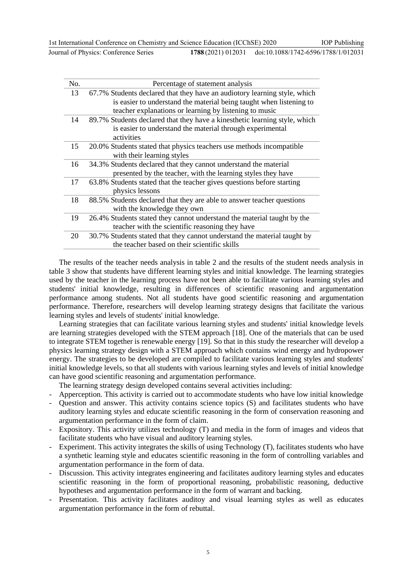| No. | Percentage of statement analysis                                           |
|-----|----------------------------------------------------------------------------|
| 13  | 67.7% Students declared that they have an audiotory learning style, which  |
|     | is easier to understand the material being taught when listening to        |
|     | teacher explanations or learning by listening to music                     |
| 14  | 89.7% Students declared that they have a kinesthetic learning style, which |
|     | is easier to understand the material through experimental                  |
|     | activities                                                                 |
| 15  | 20.0% Students stated that physics teachers use methods incompatible       |
|     | with their learning styles                                                 |
| 16  | 34.3% Students declared that they cannot understand the material           |
|     | presented by the teacher, with the learning styles they have               |
| 17  | 63.8% Students stated that the teacher gives questions before starting     |
|     | physics lessons                                                            |
| 18  | 88.5% Students declared that they are able to answer teacher questions     |
|     | with the knowledge they own                                                |
| 19  | 26.4% Students stated they cannot understand the material taught by the    |
|     | teacher with the scientific reasoning they have                            |
| 20  | 30.7% Students stated that they cannot understand the material taught by   |
|     | the teacher based on their scientific skills                               |

The results of the teacher needs analysis in table 2 and the results of the student needs analysis in table 3 show that students have different learning styles and initial knowledge. The learning strategies used by the teacher in the learning process have not been able to facilitate various learning styles and students' initial knowledge, resulting in differences of scientific reasoning and argumentation performance among students. Not all students have good scientific reasoning and argumentation performance. Therefore, researchers will develop learning strategy designs that facilitate the various learning styles and levels of students' initial knowledge.

Learning strategies that can facilitate various learning styles and students' initial knowledge levels are learning strategies developed with the STEM approach [18]. One of the materials that can be used to integrate STEM together is renewable energy [19]. So that in this study the researcher will develop a physics learning strategy design with a STEM approach which contains wind energy and hydropower energy. The strategies to be developed are compiled to facilitate various learning styles and students' initial knowledge levels, so that all students with various learning styles and levels of initial knowledge can have good scientific reasoning and argumentation performance.

The learning strategy design developed contains several activities including:

- Apperception. This activity is carried out to accommodate students who have low initial knowledge
- Question and answer. This activity contains science topics (S) and facilitates students who have auditory learning styles and educate scientific reasoning in the form of conservation reasoning and argumentation performance in the form of claim.
- Expository. This activity utilizes technology (T) and media in the form of images and videos that facilitate students who have visual and auditory learning styles.
- Experiment. This activity integrates the skills of using Technology (T), facilitates students who have a synthetic learning style and educates scientific reasoning in the form of controlling variables and argumentation performance in the form of data.
- Discussion. This activity integrates engineering and facilitates auditory learning styles and educates scientific reasoning in the form of proportional reasoning, probabilistic reasoning, deductive hypotheses and argumentation performance in the form of warrant and backing.
- Presentation. This activity facilitates auditoy and visual learning styles as well as educates argumentation performance in the form of rebuttal.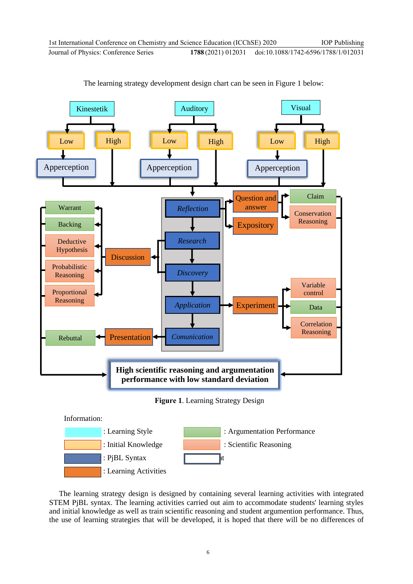

The learning strategy development design chart can be seen in Figure 1 below:

The learning strategy design is designed by containing several learning activities with integrated STEM PjBL syntax. The learning activities carried out aim to accommodate students' learning styles and initial knowledge as well as train scientific reasoning and student argumention performance. Thus, the use of learning strategies that will be developed, it is hoped that there will be no differences of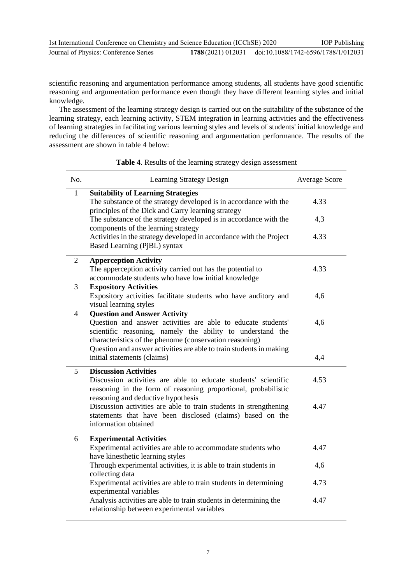| 1st International Conference on Chemistry and Science Education (ICChSE) 2020 |                    | <b>IOP</b> Publishing               |
|-------------------------------------------------------------------------------|--------------------|-------------------------------------|
| Journal of Physics: Conference Series                                         | 1788 (2021) 012031 | doi:10.1088/1742-6596/1788/1/012031 |

scientific reasoning and argumentation performance among students, all students have good scientific reasoning and argumentation performance even though they have different learning styles and initial knowledge.

The assessment of the learning strategy design is carried out on the suitability of the substance of the learning strategy, each learning activity, STEM integration in learning activities and the effectiveness of learning strategies in facilitating various learning styles and levels of students' initial knowledge and reducing the differences of scientific reasoning and argumentation performance. The results of the assessment are shown in table 4 below:

### No. **Learning Strategy Design Average Score** Average Score 1 **Suitability of Learning Strategies** The substance of the strategy developed is in accordance with the principles of the Dick and Carry learning strategy The substance of the strategy developed is in accordance with the components of the learning strategy Activities in the strategy developed in accordance with the Project Based Learning (PjBL) syntax 4.33 4,3 4.33 2 **Apperception Activity** The apperception activity carried out has the potential to accommodate students who have low initial knowledge 4.33 3 **Expository Activities** Expository activities facilitate students who have auditory and visual learning styles 4,6 4 **Question and Answer Activity**  Question and answer activities are able to educate students' scientific reasoning, namely the ability to understand the characteristics of the phenome (conservation reasoning) Question and answer activities are able to train students in making initial statements (claims) 4,6 4,4 5 **Discussion Activities** Discussion activities are able to educate students' scientific reasoning in the form of reasoning proportional, probabilistic reasoning and deductive hypothesis Discussion activities are able to train students in strengthening statements that have been disclosed (claims) based on the information obtained 4.53 4.47 6 **Experimental Activities**  Experimental activities are able to accommodate students who have kinesthetic learning styles Through experimental activities, it is able to train students in collecting data Experimental activities are able to train students in determining experimental variables Analysis activities are able to train students in determining the relationship between experimental variables 4.47 4,6 4.73 4.47

### **Table 4**. Results of the learning strategy design assessment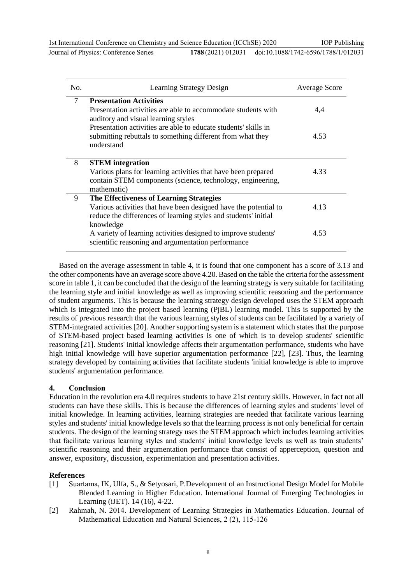Journal of Physics: Conference Series **1788** (2021) 012031

| No. | <b>Learning Strategy Design</b>                                                                                                                                                 | <b>Average Score</b> |
|-----|---------------------------------------------------------------------------------------------------------------------------------------------------------------------------------|----------------------|
| 7   | <b>Presentation Activities</b><br>Presentation activities are able to accommodate students with<br>auditory and visual learning styles                                          | 4,4                  |
|     | Presentation activities are able to educate students' skills in<br>submitting rebuttals to something different from what they<br>understand                                     | 4.53                 |
| 8   | <b>STEM</b> integration<br>Various plans for learning activities that have been prepared<br>contain STEM components (science, technology, engineering,<br>mathematic)           | 4.33                 |
| 9   | The Effectiveness of Learning Strategies<br>Various activities that have been designed have the potential to<br>reduce the differences of learning styles and students' initial | 4.13                 |
|     | knowledge<br>A variety of learning activities designed to improve students'<br>scientific reasoning and argumentation performance                                               | 4.53                 |

Based on the average assessment in table 4, it is found that one component has a score of 3.13 and the other components have an average score above 4.20. Based on the table the criteria for the assessment score in table 1, it can be concluded that the design of the learning strategy is very suitable for facilitating the learning style and initial knowledge as well as improving scientific reasoning and the performance of student arguments. This is because the learning strategy design developed uses the STEM approach which is integrated into the project based learning (PiBL) learning model. This is supported by the results of previous research that the various learning styles of students can be facilitated by a variety of STEM-integrated activities [20]. Another supporting system is a statement which states that the purpose of STEM-based project based learning activities is one of which is to develop students' scientific reasoning [21]. Students' initial knowledge affects their argumentation performance, students who have high initial knowledge will have superior argumentation performance [22], [23]. Thus, the learning strategy developed by containing activities that facilitate students 'initial knowledge is able to improve students' argumentation performance.

### **4. Conclusion**

Education in the revolution era 4.0 requires students to have 21st century skills. However, in fact not all students can have these skills. This is because the differences of learning styles and students' level of initial knowledge. In learning activities, learning strategies are needed that facilitate various learning styles and students' initial knowledge levels so that the learning process is not only beneficial for certain students. The design of the learning strategy uses the STEM approach which includes learning activities that facilitate various learning styles and students' initial knowledge levels as well as train students' scientific reasoning and their argumentation performance that consist of apperception, question and answer, expository, discussion, experimentation and presentation activities.

### **References**

- [1] Suartama, IK, Ulfa, S., & Setyosari, P.Development of an Instructional Design Model for Mobile Blended Learning in Higher Education. International Journal of Emerging Technologies in Learning (iJET). 14 (16), 4-22.
- [2] Rahmah, N. 2014. Development of Learning Strategies in Mathematics Education. Journal of Mathematical Education and Natural Sciences, 2 (2), 115-126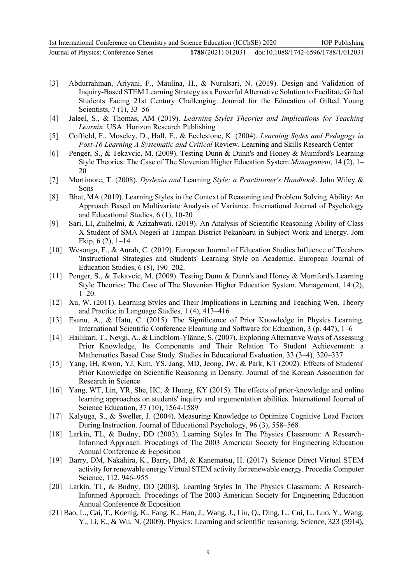- [3] Abdurrahman, Ariyani, F., Maulina, H., & Nurulsari, N. (2019). Design and Validation of Inquiry-Based STEM Learning Strategy as a Powerful Alternative Solution to Facilitate Gifted Students Facing 21st Century Challenging. Journal for the Education of Gifted Young Scientists, 7 (1), 33–56
- [4] Jaleel, S., & Thomas, AM (2019). *Learning Styles Theories and Implications for Teaching Learnin*. USA: Horizon Research Publishing
- [5] Coffield, F., Moseley, D., Hall, E., & Ecclestone, K. (2004). *Learning Styles and Pedagogy in Post-16 Learning A Systematic and Critical* Review. Learning and Skills Research Center
- [6] Penger, S., & Tekavcic, M. (2009). Testing Dunn & Dunn's and Honey & Mumford's Learning Style Theories: The Case of The Slovenian Higher Education System.*Management*, 14 (2), 1– 20
- [7] Mortimore, T. (2008). *Dyslexia and* Learning *Style: a Practitioner's Handbook*. John Wiley & Sons
- [8] Bhat, MA (2019). Learning Styles in the Context of Reasoning and Problem Solving Ability: An Approach Based on Multivariate Analysis of Variance. International Journal of Psychology and Educational Studies, 6 (1), 10-20
- [9] Sari, LI, Zulhelmi, & Azizahwati. (2019). An Analysis of Scientific Reasoning Ability of Class X Student of SMA Negeri at Tampan District Pekanbaru in Subject Work and Energy. Jom Fkip, 6 (2), 1–14
- [10] Wesonga, F., & Aurah, C. (2019). European Journal of Education Studies Influence of Tecahers 'Instructional Strategies and Students' Learning Style on Academic. European Journal of Education Studies, 6 (8), 190–202.
- [11] Penger, S., & Tekavcic, M. (2009). Testing Dunn & Dunn's and Honey & Mumford's Learning Style Theories: The Case of The Slovenian Higher Education System. Management, 14 (2), 1–20.
- [12] Xu, W. (2011). Learning Styles and Their Implications in Learning and Teaching Wen. Theory and Practice in Language Studies, 1 (4), 413–416
- [13] Esanu, A., & Hatu, C. (2015). The Significance of Prior Knowledge in Physics Learning. International Scientific Conference Elearning and Software for Education, 3 (p. 447), 1–6
- [14] Hailikari, T., Nevgi, A., & Lindblom-Ylänne, S. (2007). Exploring Alternative Ways of Assessing Prior Knowledge, Its Components and Their Relation To Student Achievement: a Mathematics Based Case Study. Studies in Educational Evaluation, 33 (3–4), 320–337
- [15] Yang, IH, Kwon, YJ, Kim, YS, Jang, MD, Jeong, JW, & Park, KT (2002). Effects of Students' Prior Knowledge on Scientific Reasoning in Density. Journal of the Korean Association for Research in Science
- [16] Yang, WT, Lin, YR, She, HC, & Huang, KY (2015). The effects of prior-knowledge and online learning approaches on students' inquiry and argumentation abilities. International Journal of Science Education, 37 (10), 1564-1589
- [17] Kalyuga, S., & Sweller, J. (2004). Measuring Knowledge to Optimize Cognitive Load Factors During Instruction. Journal of Educational Psychology, 96 (3), 558–568
- [18] Larkin, TL, & Budny, DD (2003). Learning Styles In The Physics Classroom: A Research-Informed Approach. Procedings of The 2003 American Society for Engineering Education Annual Conference & Ecposition
- [19] Barry, DM, Nakahira, K., Barry, DM, & Kanematsu, H. (2017). Science Direct Virtual STEM activity for renewable energy Virtual STEM activity for renewable energy. Procedia Computer Science, 112, 946–955
- [20] Larkin, TL, & Budny, DD (2003). Learning Styles In The Physics Classroom: A Research-Informed Approach. Procedings of The 2003 American Society for Engineering Education Annual Conference & Ecposition
- [21] Bao, L., Cai, T., Koenig, K., Fang, K., Han, J., Wang, J., Liu, Q., Ding, L., Cui, L., Luo, Y., Wang, Y., Li, E., & Wu, N. (2009). Physics: Learning and scientific reasoning. Science, 323 (5914),